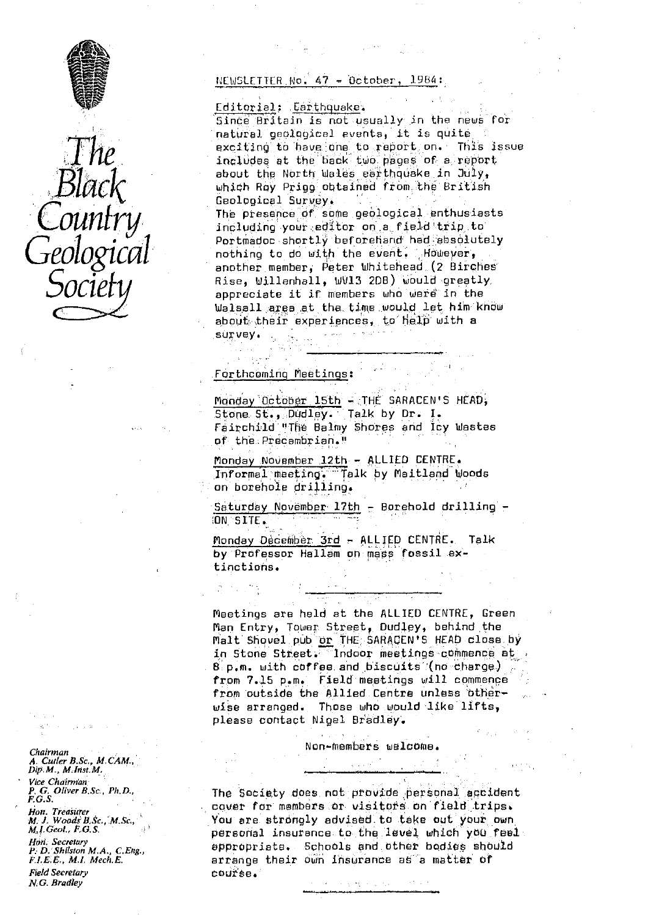



NEWSLETTER. Wo. 47 - Dotober, 1984:<br>Editorial: Earthquake.<br>Since Britain is not usually in the news for Editorial: Earthquake. natural, geological events, it is quite exciting to have. 'one. to report, on. This issue includes at the back two pages of a report about the North Wales earthquake in Jury, which Roy Prigg ohtained from the 6ritish Geological Survey

> The presence of some geological enthusiasts including your editor on a field trip to Portmadoc shortly beforehand had absolutely nothing to do with the event. However, another.member, Peter Whitehead;(2 Birphes' Rise, Wj11enhall, WV13 2DB) would greatly, appreciate it if members who were in the Walsall. area at the. time would let him know about their experiences, to help with a survey. .. ..

## . Forthcoming Meetings :

Monday October 15th - THE SARACEN'S HEAD, Stone St., Dudley. Talk by Dr. I. Fairchild '!Tie Balmy Shores and Icy Wastes of the . Precambrian."

Monday .NOvember .12th - ALLIED CENTRE. Informal meeting. Talk by Maitland Woods an borehole drilling.

Saturday November 17th - Borehold drilling - ON SITE.

Monday December  $3rd - ALLIED$  CENTRE. Talk by Professor Hallam an mass fossil extinctions.

Meetings are held at the ALLIED CENTRE, Green Man Entry, Tower. Street, Dud1ay, behind the Malt Shovel pub <u>or</u> THE SARACEN'S HEAD close by in Stone Street. Indoor meetings commence at  $8$  p.m. with coffee and biscuits (no charge) from 7.15 p.m. Field meetings will commence from outside the Allied Centre unless 'btherwise arranged. Those who would like lifts, please contact Nigel Bradley.

Non-members welcome.

The Society does not provide personal accident cover for members or visitor's on field trips. You are strongly advised. to take out your own personal insurance to the level which you feel appropriate. Schools and other bodies should arrange their own insurance as a matter of course.

 $\chi\in\mathcal{P}(\chi)\rightarrow 0$ 

*Chairman A. Curler B.Sc,,* M. *CAM,, D1p,M., M:1r^st.M.*

*Vice Chairman P. G. Oliver B.* Sc., *Ph, D.,* **F.G.S.**

*Hon. Treasurer*<br>*M. J. Woods B.Sc., M.Sc. Mj. Geol., C3. S.*

*Hort. Secretary*<br>P. D. Shilston M.A., C,Eng., *F. f. B ., M. L Mech. '.*

Field Secretary N.*•* G. *Bradley*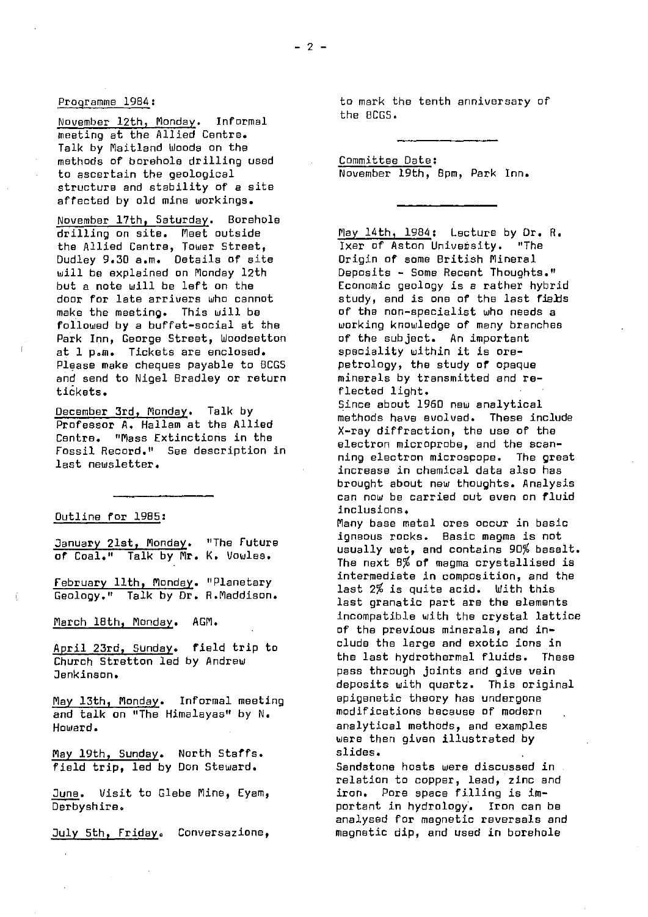# Programme 1964 :

November 12th, Monday. Informal meeting at the Allied Centre. Talk by Maitland Woods on the methods of borehole drilling used to ascertain the geological structure and stability of a site affected by old mine workings.

November 17th, Saturday. Borshole drilling on site. Meet outside the Allied Centre, Tower Street, Dudley 9.30 a.m. Details of site will be explained on Monday 12th but a note will be left on the door for late arrivers who cannot make the meeting. This will be followed by a buffet-social at the Park Inn, George Street, Woodsetton at 1 p.m. Tickets are enclosed. Please make cheques payable to BCGS and send to Nigel Bradley or return tickets.

December 3rd, Monday. Talk by Professor A. Hallam at the Allied Centre. "Mass Extinctions in the Fossil Record." See description in last newsletter.

#### Outline for 1985:

January 21st, Monday. "The Future of Coal." *Talk by* Mr. K. Uowles.

February 11th, Monday . "Planetary Geology." Talk by Dr. R.Maddison.

March 18th, Monday. AGM.

April 23rd, Sunday. field trip to Church Stratton led by Andrew Jenkinsan.

May 13th, Monday. Informal meeting and talk on "The Himalayas" by N. Howard.

May 19th, Sunday. North Staffs. field trip, led by Don Steward.

June. Visit to Glebe Mines Eyam, Derbyshire.

July 5th, Friday. Conversazione,

to mark the tenth anniversary of the BCGS.

Committee Date : November 19th, Bpm, Park Inn.

May 14th, 1984: Lecture by Dr. R. Ixer of Aston University. "The origin of some British Mineral Deposits - Some Recent Thoughts." Economic geology is a rather hybrid study, and is one of the last fields of the non-specialist who needs a working knowledge of many branches of the subject. An important speciality within it is orepetrology, the study of opaque minerals by transmitted and reflected light.

Since about 1960 new analytical methods have evolved. These include X-ray diffraction, the use of the electron microprobe, and the scanning electron microspope. The great increase in chemical data also has brought about new thoughts. Analysis can now be carried out even on fluid inclusions.

Many base metal ores occur in basic igneous rocks. Basic magma is not usually wet, and contains 90% basalt. The next 8% of magma crystallised is intermediate in composition, and the last 2% is quite acid. With this last granatic part are the elements incompatible with the crystal lattice of the previous minerals, and include the large and exotic *ions in* the last hydrothermal fluids. These pass through joints and give vein deposits with quartz. This original epigenetic theory has undergone modifications because of modern analytical methods, and examples were then given illustrated by slides.

Sandstone hosts were discussed in relation to copper, lead, zinc and iron. Pore space filling is important in hydrology. Iron can be analysed for magnetic reversals and magnetic dip, and used in borehole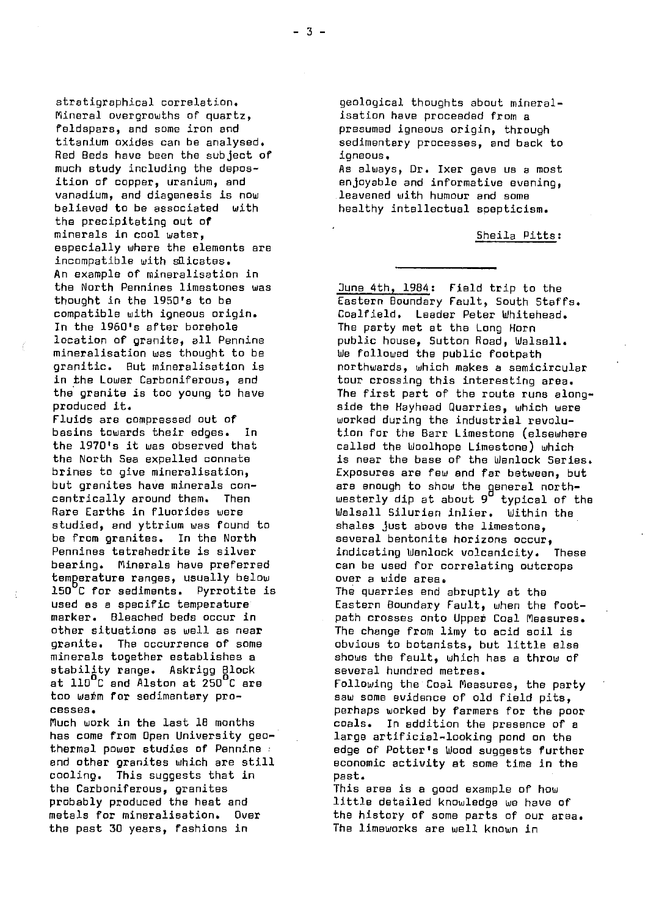stratigraphical correlation. geological thoughts about mineral-<br>Mineral overgrowths of quartz, isation have proceeded from a Mineral overgrowths of quartz,<br>feldspars, and some iron and feldspars, and some iron and **presumed igneous origin, through**<br>titanium oxides can be analysed. Bedimentery processes, and back t Red Beds have been the subject of<br>much study including the deposmuch study including the depos- As always, Dr. Ixer gave us a most<br>ition of copper, uranium, and enjoyable and informative evening. vanadium, and diagenesis is now<br>believed to be associated with the precipitating out of minerals in cool water,  $\qquad \qquad$  Sheila Pitts: especially where the elements are incompatible with slicates. An example of mineralisation in<br>the North Pennines limestones was In the 1960's after borehole The party met at the Long Horn mineralisation was thought to be We followed the public footpath<br>granitic. But mineralisation is which makes a semic.

studied, and yttrium was found to shales just above the limestone,<br>be from granites. In the North several bentonite horizons occur be from granites. In the North several bentonite horizons occur,<br>Pennines tetrahedrite is silver sindicating Wenlock volcanicity. temperature ranges, usually below<br>150°C for sediments. Pyrrotite is 150°C for sediments. Pyrrotite is The quarries end abruptly at the used as a specific temperature the tastern Boundary Fault, when the stability range. Askrigg Block several hundred metres.<br>at llO<sup>C</sup>C and Alston at 250<sup>C</sup>C are **state in Following the Coal Meas** 

cooling. This suggests that in past. the Carboniferous, granites This area is a good example of how the past 30 years, fashions in The limeworks are well known in

sedimentary processes, and back to<br>ioneous.

enjoyable and informative evening,<br>leavened with humour and some bealthy intellectual spepticism.

the North Pennines limestones was June 4th, 1984 : Field trip to the thought in the 1950's to be entitled the Eastern Boundary Fault, South Staffs.<br>compatible with igneous origin. The Coalfield, Leader Peter Whitehead. compatible with igneous origin. Coalfield. Leader Peter Whitehead.<br>In the 1960's after borehole The party met at the Long Horn location of granite, all Pennine public house, Sutton Road, Walsall. granitic. But mineralisation is northwards, which makes a semicircular in the Lower Carboniferous, and tour crossing this interesting area.<br>the granite is too young to have the first part of the route runs alo the granite is too young to have The first part of the route runs along-<br>produced it. era side the Havhead Quarries, which were produced it.<br>Fluids are compressed out of the South worked during the industrial revolu-Fluids are compressed out of worked during the industrial revolubasins towards their edges. In tion for the Barr Limestone (elsewhere<br>the 1970's it was observed that the called the Woolhope Limestone) which the 1970's it was observed that and called the Woolhope Limestone) which<br>the North Sea expelled connate and is near the base of the Wenlock Serie the North Sea expelled connate is near the base of the Wenlock Series.<br>brines to give mineralisation, in the Exposures are few and far between, but brines to give mineralisation, and the exposures are few and far between, but but quanties have minerals conbut granites have minerals con-  $\qquad \qquad$  are enough to show the general northcentrically around them. Then westerly dip at about 9 typical of the Rare Earths in fluorides were **Walsall Silurian inlier.** Within the Pennines tetrahedrite is silver indicating Wenlock volcanicity. These<br>bearing. Minerals have preferred in the used for correlating outcrops can be used for correlating outcrops<br>over a wide area. used as a specific temperature **Eastern Boundary Fault, when the foot-**<br>marker. Bleached beds occur in The path crosses onto Upper Coal Measures. marker. Bleached beds occur in path crosses onto Uppet Coal Measures. other situations as well as near The change from limy to acid soil is<br>granite. The occurrence of some obvious to botanists. but little else granite. The occurrence of some obvious to botanists, but little else<br>minerals together establishes a shows the fault, which has a throw of shows the fault, which has a throw of at 110°C and Alston at 250°C are Following the Coal Measures, the party<br>too warm for sedimentary pro- saw some evidence of old field pits. too wahm for sedimentary pro- saw some evidence of old field pits, cesses. perhaps worked by farmers for the poor Much work in the last 18 months coals. In addition the presence of a has come from Open University geo- large artificial-looking pond on the the the control of the control on the c<br>thermal power studies of Pennine thermal power studies of Pennine : edge of Potter's Wood suggests further economic activity at some time in the

probably produced the heat and little detailed knowledge we have of metals for mineralisation. Over the history of some parts of our area.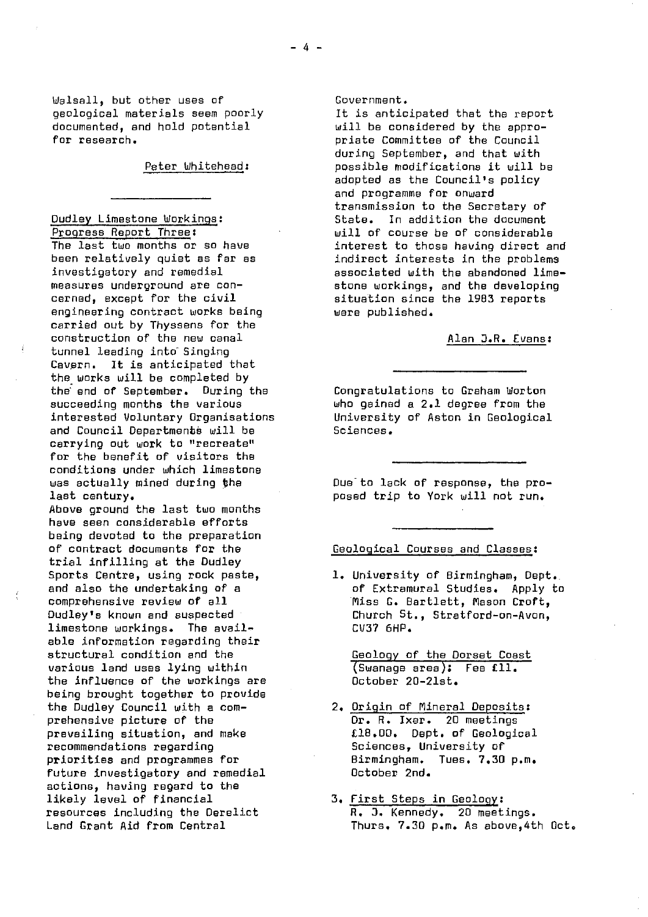Walsall, but other uses of geological materiels seem poorly documented, and hold potential for research.

Peter Whitehead:

Dudley Limestone Workings: Progress Report Three: The last two months or so have been relatively quiet as far as investigatory and remedial measures underground are concerned, except for the civil engineering contract works being carried out by Thyssens for the construction of the new canal tunnel leading into Singing Cavern. It is anticipated that the works will be completed by

the end of September. During the succeeding months the various interested Voluntary Organisations and Council Departments will be carrying out work to "recreate" for the benefit of visitors the conditions under which limestone was actually mined during the last century.

Above ground the last two months have seen considerable efforts being devoted to the preparation of contract documents for the trial infilling at the Dudley Sports Centre, using rock paste, and also the undertaking of a comprehensive review of all Dudley's known and suspected limestone workings. The available information regarding their structural condition and the various land uses lying within the influence of the workings are being brought together to provide the Dudley Council with a comprehensive picture of the prevailing situation, and make recommendations regarding priorities and programmes for future investigatory and remedial actions, having regard to the likely level of financial resources including the Derelict Land Grant Aid from Central

#### Government.

It is anticipated that the report will be considered by the appropriate Committee of the Council during September, and that with possible modifications it will be adopted as the Council's policy and programme for onward transmission to the Secretary of State. In addition the document will of course be of considerable interest to those having direct and indirect interests in the problems associated with the abandoned limestone workings, and the developing situation since the 1983 reports were published.

# Alan O.R. Evans :

Congratulations to Graham Worton who gained a 2.1 degree from the University of Aston in Geological Sciences.

Due to lack of response, the proposed trip to York will not run.

# Geological Courses and Classes :

1. University of Birmingham, Dept.. of Extramural Studies. Apply to Miss G. Bartlett, Mason Croft, Church St., Stratford-on-Avon, CV37 6HP.

Geology of the Dorset Coast Swanage area): Fee Ell. October 20-21st.

- 2. Origin of Mineral Deposits : Dr. R. Ixer. 20 meetings £18.00. Dept. of Geological Sciences, University of Birmingham. Tues. 7.30 p.m. October 2nd.
- 3. First Steps in Geology : R. J. Kennedy. 20 meetings. Thurs. 7.30 p.m. As above,4th Oct.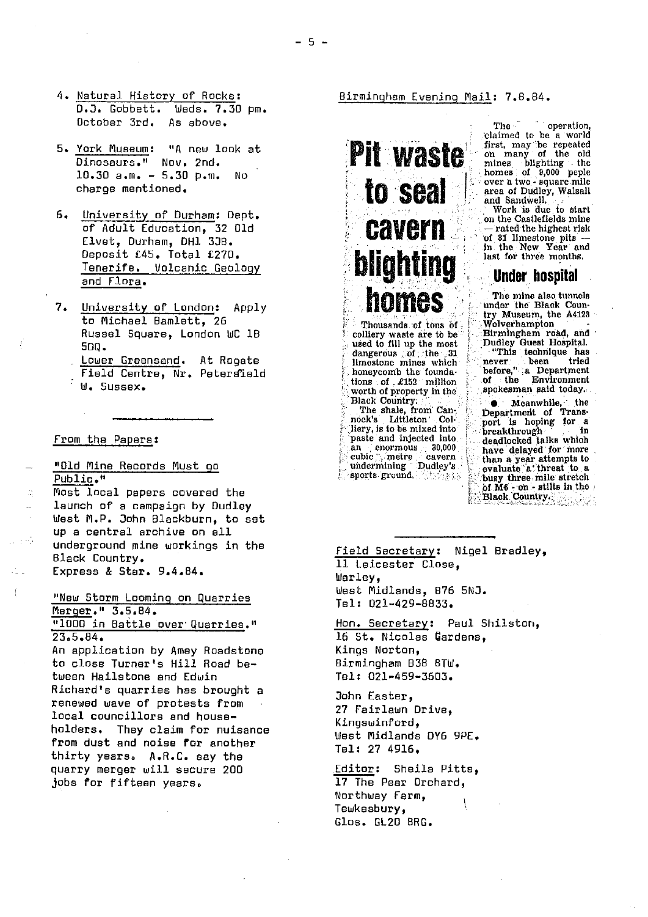- 4. Natural History of Rocks:<br>D.J. Gobbett. Weds. 7.30 pm. D.J. Gobbett. October 3rd. As above.
- 5. York Museum: "A new look at Dinosaurs." Nov. 2nd. 10.30 a.m. - 5.30 p.m. No charge mentioned.
- 6. University of Durham: Dept. of Adult Education, 32 Old Elvet, Durham, DH1 330. Deposit £45. Total £270. Tenerife. Volcanic Geology and Flora .
- 7. University of London: Apply to Michael Bamlett, 26 Russel Square, London WC 18 50g. Lower Greensand. At Rogate Field Centre, Nr. Petersield We Sussex.

#### From the Papers :

"Old Mine Records Must go Public."

Most local papers covered the launch of a campaign by Dudley West M.P. John Blackburn, to set up a central archive on ell underground mine workings in the Black Country. Express & Star. 9.4.84.

"New Storm Looming on quarries Merger." 3.5.84. °1000 in Battle over quarries ."  $23.5.84.$ 

An application by Amey Roadstono to close Turner's Hill Road between Hailstone and Edwin Richard's quarries has brought a renewed wave of protests from local councillors and householders. They claim for nuisance from dust and noise for another thirty years. A.R.C. say the quarry merger will secure 200 jobs for fifteen years.

Birmingham Evening Mail: 7.8.84.

**'**

# **Pit waste** to seal cavern **blighting** Under hospital homes

colliery waste are to be . Birmingham road, and used to fill up the most Dudley Guest Hospital.<br>dangerous ; of the... 31 ''This technique has limestone mines which : never. . been tried tions of  $.4152$  million worth of property in the worth of property in the .'.spokeaxnan said today.:.

liery, is to be mixed into paste and injected into , ... breakthrough an enormous 30,000 have deallocked talks which an enormous 30,000 have delayed for more<br>cubic metre - cavern : than a year attempts to<br>undermining Dudley's evaluate a threat to a

The operation, 'claimed to be a world first, may be repeated on many of the old mines blighting . the homes of  $9,000$  peple over a two - square mile area of Dudley, Walsall and Sandwell,

Work is due to start on the Castlefields mine — rated the highest risk of 31 limestone pits in the New Year and last for three months.

The mine also tunnels under the Black Country Museum, the A4123<br>Wolverhampton 1`. Thousands of tons of ; E - -. Wolverhampton

hever been tried<br>before," ;a Department<br>of the Environment

Black Country:  $\bullet$  Meanwhile, the The shale, from Can-<br>nock's Littleton Col being for a liery, is to be mixed into the position of the position of the liery. breakthrough in<br>deadlocked talks which " a ` sports ground. The spanning a three mile stretch  $5f$  M6 -  $on$  - stilts in the **Black Country.** 

Field Secretary: Nigel Bradley, 11 Leicester Close, Werley, West Midlands, 876 5N3. Tel: 021-429-8833, Hon. Secretary : Paul Shilston,

16 St. Nicolas Gardens, Kings Norton, Birmingham B3B 8TW. Tel: 021-459-3603,

John Easter, 27 Fairlawn Drive, Kingswinford, West Midlands DY6 9PE, Tel: 27 4916.

Editor: Sheila Pitts, 17 The Pear Orchard, Northway Farm, Tewkesbury, Glos. GL20 BRG.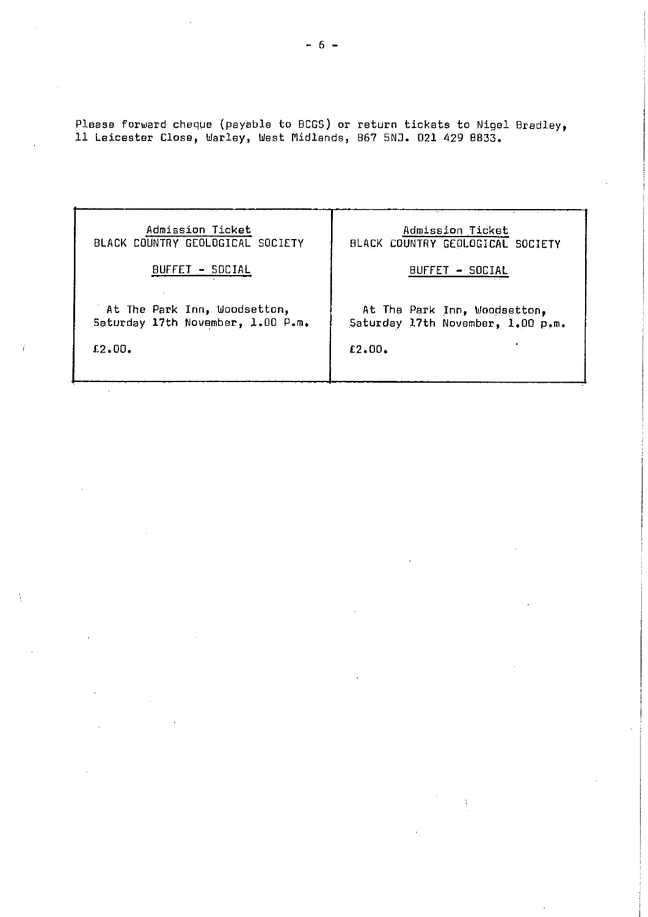Please forward cheque (payable to BCGS) or return tickets to Nigel Bradley, 11 Leicester Close, Warley, West Midlands, 867 5NJ. 021 429 8833.

Admission Ticket BLACK COUNTRY GEOLOGICAL SOCIETY

BUFFET - SOCIAL

At The Park Inn, Woodsetton, Saturday 17th November, 1.00 P.m.

€2.00.

# Admission Ticket BLACK COUNTRY GEOLOGICAL SOCIETY

BUFFET - SOCIAL

At The Park Inn, Woodsetton, Saturday 17th November, 1.00 p.m.

12.00.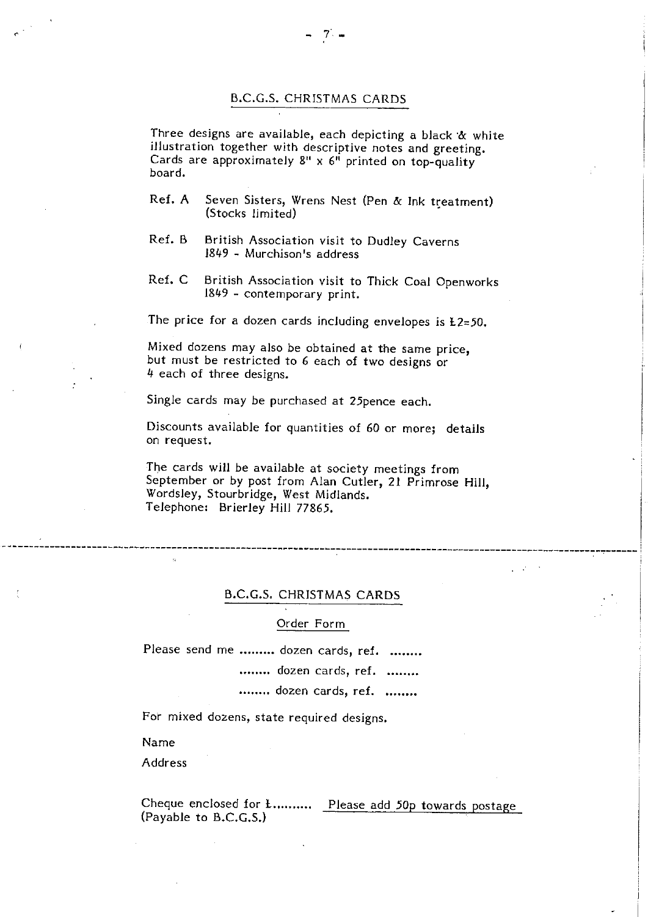# B.C.G.S. CHRISTMAS CARDS

Three designs are available, each depicting a black & white illustration together with descriptive notes and greeting. Cards are approximately  $8'' \times 6''$  printed on top-quality board.

- Ref. A Seven Sisters, Wrens Nest (Pen & Ink treatment) (Stocks limited)
- Ref. B British Association visit to Dudley Caverns 1849 - Murchison's address
- Ref. C British Association visit to Thick Coal Openworks 1849 - contemporary print.

The price for a dozen cards including envelopes is  $E2=50$ .

Mixed dozens may also be obtained at the same price, but must be restricted to 6 each of two designs or 4 each of three designs.

Single cards may be purchased at 25pence each.

Discounts available for quantities of 60 or more; details on request.

The cards will be available at society meetings from September or by post from Alan Cutler, 21 Primrose Hill, Wordsley, Stourbridge, West Midlands. Telephone: Brierley Hill 77865.

# B.C.G.S. CHRISTMAS CARDS

Order Form

Please send me ......... dozen cards, ref. ........

........ dozen cards, ref. ........

........ dozen cards, ref. ........

For mixed dozens, state required designs.

Name

**Address** 

Cheque enclosed for *E*........... Please add 50p towards postage (Payable to B.C.G.S.)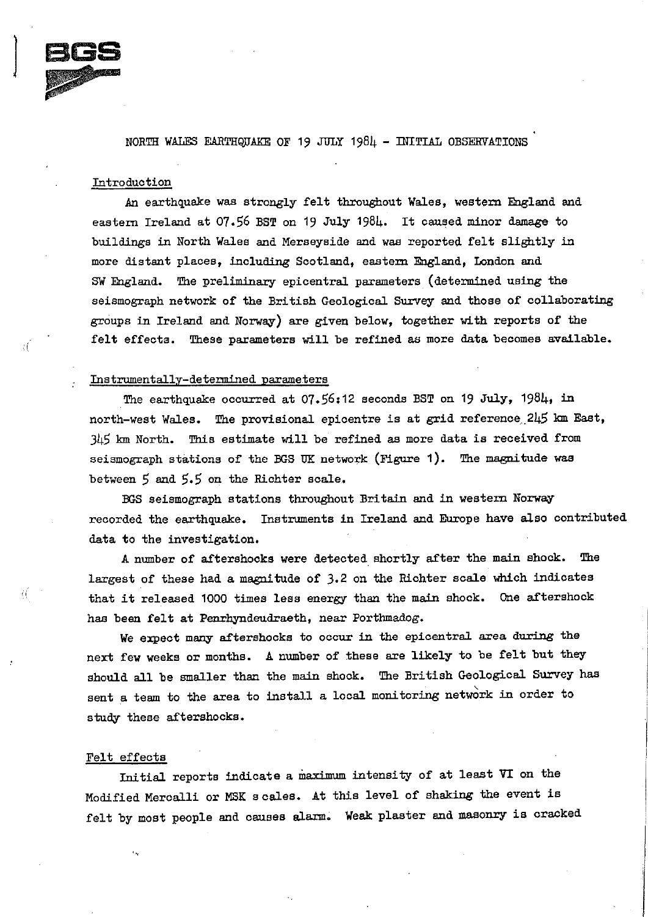

# NORTH WALES EARTHQUAKE OF 19 JULY 198 $\mu$  - INITIAL OBSERVATIONS

## Introduction

An earthquake was strongly felt throughout Wales, western England and eastern Ireland at 07.56 BST on 19 July 1981. It caused minor damage to buildings in North Wales and Merseyside and was reported felt sightly in more distant places, including Scotland, eastern England, London and SW England. The preliminary epicentral parameters (determined using the seismograph network of the British Geological Survey and those of collaborating groups in Ireland and Norway) are given below, *together* with reports of the felt effects. These parameters will be refined as more data becomes available.

# Instrumentally-determined parameters

The earthquake occurred at  $07.56:12$  seconds BST on 19 July, 1984, in north-west Wales. The provisional epicentre is at grid reference,\_2I5 km East, 3L15 km North. This estimate will be refined as more data is received from seismograph stations of the BGS UK network (Figure 1). The magnitude was between  $5$  and  $5.5$  on the Richter scale.

BGS seismograph stations throughout Britain and in western Norway recorded the **earthquake. Instruments in Ireland** and Europe have also contributed data to the investigation.

A number of aftershocks were detected shortly after the main shock. The largest of these had a magnitude of 3.2 on the Richter scale which indicates that it released 1000 times less energy than the main shock. One aftershock has been felt at Penrhyndeudraeth, near Porthmadog.

We expect many aftershocks to occur in the epicentral area during the next few weeks or months. A number of these are likely to be felt but they should all be smaller than the main shook. The British Geological Survey has sent a team to the area to install a local monitoring network in order to study these aftershocks.

# Felt effects

Initial reports indicate a maximum intensity of at least VI on the Modified Meroalli or MSK scales. At this level of shaking the event is felt by most people and causes alarm. Weak plaster and masonry is cracked